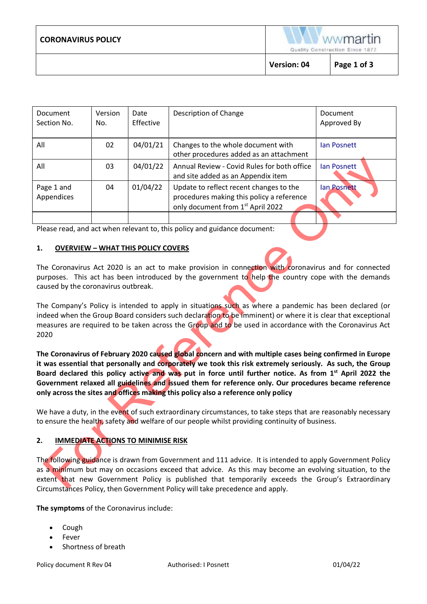|                           | <b>Version: 04</b>                                                | Page 1 of 3 |  |
|---------------------------|-------------------------------------------------------------------|-------------|--|
| <b>CORONAVIRUS POLICY</b> | wwmartin<br><b>CONTRACTOR</b><br>Quality Construction Since 1877. |             |  |

| Document<br>Section No.  | <b>Version</b><br>No. | Date<br>Effective | Description of Change                                                                                                                 | Document<br>Approved By |
|--------------------------|-----------------------|-------------------|---------------------------------------------------------------------------------------------------------------------------------------|-------------------------|
| All                      | 02                    | 04/01/21          | Changes to the whole document with<br>other procedures added as an attachment                                                         | <b>Jan Posnett</b>      |
| All                      | 03                    | 04/01/22          | Annual Review - Covid Rules for both office<br>and site added as an Appendix item                                                     | lan Posnett             |
| Page 1 and<br>Appendices | 04                    | 01/04/22          | Update to reflect recent changes to the<br>procedures making this policy a reference<br>only document from 1 <sup>st</sup> April 2022 | lan Posnett             |
|                          |                       |                   |                                                                                                                                       |                         |

Please read, and act when relevant to, this policy and guidance document:

## **1. OVERVIEW – WHAT THIS POLICY COVERS**

The Coronavirus Act 2020 is an act to make provision in connection with coronavirus and for connected purposes. This act has been introduced by the government to help the country cope with the demands caused by the coronavirus outbreak.

The Company's Policy is intended to apply in situations such as where a pandemic has been declared (or indeed when the Group Board considers such declaration to be imminent) or where it is clear that exceptional measures are required to be taken across the Group and to be used in accordance with the Coronavirus Act 2020

**The Coronavirus of February 2020 caused global concern and with multiple cases being confirmed in Europe it was essential that personally and corporately we took this risk extremely seriously. As such, the Group Board declared this policy active and was put in force until further notice. As from 1 st April 2022 the Government relaxed all guidelines and issued them for reference only. Our procedures became reference only across the sites and offices making this policy also a reference only policy**

We have a duty, in the event of such extraordinary circumstances, to take steps that are reasonably necessary to ensure the health, safety and welfare of our people whilst providing continuity of business.

## **2. IMMEDIATE ACTIONS TO MINIMISE RISK**

The following guidance is drawn from Government and 111 advice. It is intended to apply Government Policy as a minimum but may on occasions exceed that advice. As this may become an evolving situation, to the extent that new Government Policy is published that temporarily exceeds the Group's Extraordinary Circumstances Policy, then Government Policy will take precedence and apply.

**The symptoms** of the Coronavirus include:

- Cough
- **Fever**
- Shortness of breath